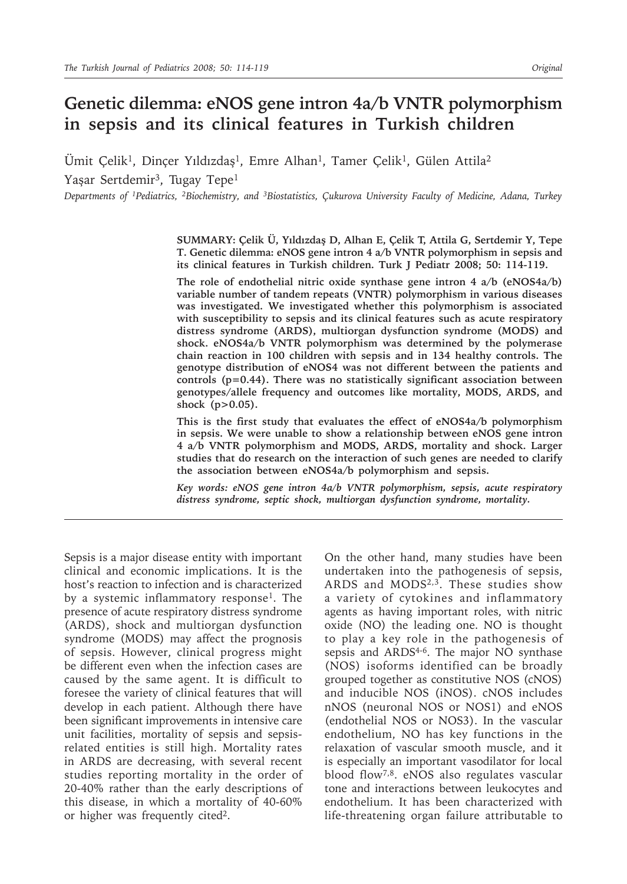# **Genetic dilemma: eNOS gene intron 4a/b VNTR polymorphism in sepsis and its clinical features in Turkish children**

Umit Çelik<sup>1</sup>, Dinçer Yıldızdaş<sup>1</sup>, Emre Alhan<sup>1</sup>, Tamer Çelik<sup>1</sup>, Gülen Attila<sup>2</sup> Yaşar Sertdemir<sup>3</sup>, Tugay Tepe<sup>1</sup>

*Departments of 1Pediatrics, 2Biochemistry, and 3Biostatistics, Çukurova University Faculty of Medicine, Adana, Turkey*

**SUMMARY: Çelik Ü, Yıldızdaş D, Alhan E, Çelik T, Attila G, Sertdemir Y, Tepe T. Genetic dilemma: eNOS gene intron 4 a/b VNTR polymorphism in sepsis and its clinical features in Turkish children. Turk J Pediatr 2008; 50: 114-119.**

**The role of endothelial nitric oxide synthase gene intron 4 a/b (eNOS4a/b) variable number of tandem repeats (VNTR) polymorphism in various diseases was investigated. We investigated whether this polymorphism is associated with susceptibility to sepsis and its clinical features such as acute respiratory distress syndrome (ARDS), multiorgan dysfunction syndrome (MODS) and shock. eNOS4a/b VNTR polymorphism was determined by the polymerase chain reaction in 100 children with sepsis and in 134 healthy controls. The genotype distribution of eNOS4 was not different between the patients and controls (p=0.44). There was no statistically significant association between genotypes/allele frequency and outcomes like mortality, MODS, ARDS, and shock (p>0.05).**

**This is the first study that evaluates the effect of eNOS4a/b polymorphism in sepsis. We were unable to show a relationship between eNOS gene intron 4 a/b VNTR polymorphism and MODS, ARDS, mortality and shock. Larger studies that do research on the interaction of such genes are needed to clarify the association between eNOS4a/b polymorphism and sepsis.**

*Key words: eNOS gene intron 4a/b VNTR polymorphism, sepsis, acute respiratory distress syndrome, septic shock, multiorgan dysfunction syndrome, mortality.*

Sepsis is a major disease entity with important clinical and economic implications. It is the host's reaction to infection and is characterized by a systemic inflammatory response<sup>1</sup>. The presence of acute respiratory distress syndrome (ARDS), shock and multiorgan dysfunction syndrome (MODS) may affect the prognosis of sepsis. However, clinical progress might be different even when the infection cases are caused by the same agent. It is difficult to foresee the variety of clinical features that will develop in each patient. Although there have been significant improvements in intensive care unit facilities, mortality of sepsis and sepsisrelated entities is still high. Mortality rates in ARDS are decreasing, with several recent studies reporting mortality in the order of 20-40% rather than the early descriptions of this disease, in which a mortality of 40-60% or higher was frequently cited<sup>2</sup>.

On the other hand, many studies have been undertaken into the pathogenesis of sepsis, ARDS and MODS<sup>2,3</sup>. These studies show a variety of cytokines and inflammatory agents as having important roles, with nitric oxide (NO) the leading one. NO is thought to play a key role in the pathogenesis of sepsis and ARDS<sup>4-6</sup>. The major NO synthase (NOS) isoforms identified can be broadly grouped together as constitutive NOS (cNOS) and inducible NOS (iNOS). cNOS includes nNOS (neuronal NOS or NOS1) and eNOS (endothelial NOS or NOS3). In the vascular endothelium, NO has key functions in the relaxation of vascular smooth muscle, and it is especially an important vasodilator for local blood flow7,8. eNOS also regulates vascular tone and interactions between leukocytes and endothelium. It has been characterized with life-threatening organ failure attributable to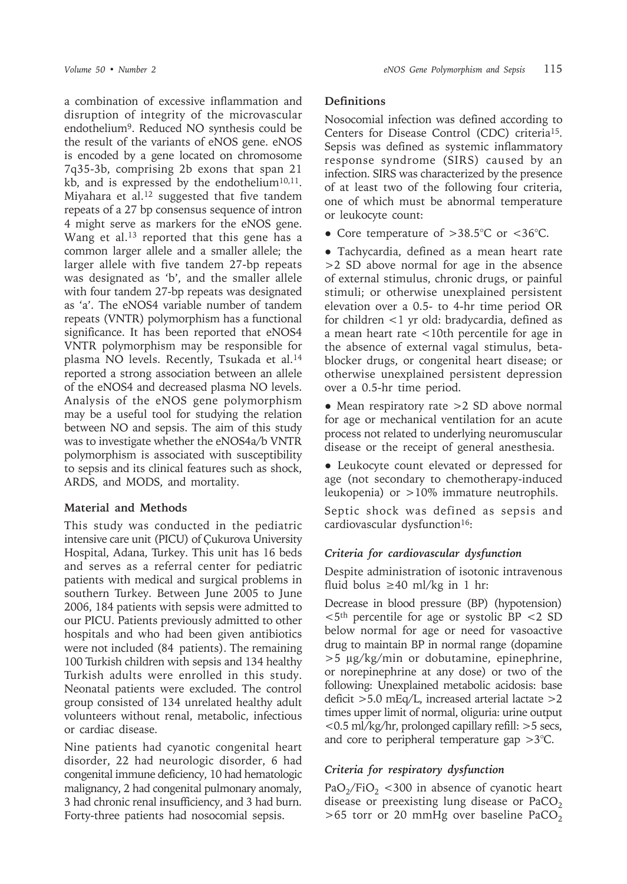a combination of excessive inflammation and disruption of integrity of the microvascular endothelium9. Reduced NO synthesis could be the result of the variants of eNOS gene. eNOS is encoded by a gene located on chromosome 7q35-3b, comprising 2b exons that span 21 kb, and is expressed by the endothelium $10,11$ . Miyahara et al.<sup>12</sup> suggested that five tandem repeats of a 27 bp consensus sequence of intron 4 might serve as markers for the eNOS gene. Wang et al.<sup>13</sup> reported that this gene has a common larger allele and a smaller allele; the larger allele with five tandem 27-bp repeats was designated as 'b', and the smaller allele with four tandem 27-bp repeats was designated as 'a'. The eNOS4 variable number of tandem repeats (VNTR) polymorphism has a functional significance. It has been reported that eNOS4 VNTR polymorphism may be responsible for plasma NO levels. Recently, Tsukada et al.<sup>14</sup> reported a strong association between an allele of the eNOS4 and decreased plasma NO levels. Analysis of the eNOS gene polymorphism may be a useful tool for studying the relation between NO and sepsis. The aim of this study was to investigate whether the eNOS4a/b VNTR polymorphism is associated with susceptibility to sepsis and its clinical features such as shock, ARDS, and MODS, and mortality.

#### **Material and Methods**

This study was conducted in the pediatric intensive care unit (PICU) of Çukurova University Hospital, Adana, Turkey. This unit has 16 beds and serves as a referral center for pediatric patients with medical and surgical problems in southern Turkey. Between June 2005 to June 2006, 184 patients with sepsis were admitted to our PICU. Patients previously admitted to other hospitals and who had been given antibiotics were not included (84 patients). The remaining 100 Turkish children with sepsis and 134 healthy Turkish adults were enrolled in this study. Neonatal patients were excluded. The control group consisted of 134 unrelated healthy adult volunteers without renal, metabolic, infectious or cardiac disease.

Nine patients had cyanotic congenital heart disorder, 22 had neurologic disorder, 6 had congenital immune deficiency, 10 had hematologic malignancy, 2 had congenital pulmonary anomaly, 3 had chronic renal insufficiency, and 3 had burn. Forty-three patients had nosocomial sepsis.

### **Definitions**

Nosocomial infection was defined according to Centers for Disease Control (CDC) criteria15. Sepsis was defined as systemic inflammatory response syndrome (SIRS) caused by an infection. SIRS was characterized by the presence of at least two of the following four criteria, one of which must be abnormal temperature or leukocyte count:

• Core temperature of  $>38.5^{\circ}$ C or <36 $^{\circ}$ C.

● Tachycardia, defined as a mean heart rate >2 SD above normal for age in the absence of external stimulus, chronic drugs, or painful stimuli; or otherwise unexplained persistent elevation over a 0.5- to 4-hr time period OR for children <1 yr old: bradycardia, defined as a mean heart rate <10th percentile for age in the absence of external vagal stimulus, betablocker drugs, or congenital heart disease; or otherwise unexplained persistent depression over a 0.5-hr time period.

• Mean respiratory rate > 2 SD above normal for age or mechanical ventilation for an acute process not related to underlying neuromuscular disease or the receipt of general anesthesia.

● Leukocyte count elevated or depressed for age (not secondary to chemotherapy-induced leukopenia) or >10% immature neutrophils.

Septic shock was defined as sepsis and cardiovascular dysfunction<sup>16</sup>:

# *Criteria for cardiovascular dysfunction*

Despite administration of isotonic intravenous fluid bolus  $\geq 40$  ml/kg in 1 hr:

Decrease in blood pressure (BP) (hypotension)  $\langle 5^{th}$  percentile for age or systolic BP  $\langle 2 \text{ SD} \rangle$ below normal for age or need for vasoactive drug to maintain BP in normal range (dopamine >5 µg/kg/min or dobutamine, epinephrine, or norepinephrine at any dose) or two of the following: Unexplained metabolic acidosis: base deficit >5.0 mEq/L, increased arterial lactate >2 times upper limit of normal, oliguria: urine output <0.5 ml/kg/hr, prolonged capillary refill: >5 secs, and core to peripheral temperature gap >3°C.

# *Criteria for respiratory dysfunction*

 $PaO<sub>2</sub>/FiO<sub>2</sub> < 300$  in absence of cyanotic heart disease or preexisting lung disease or  $PaCO<sub>2</sub>$  $>65$  torr or 20 mmHg over baseline PaCO<sub>2</sub>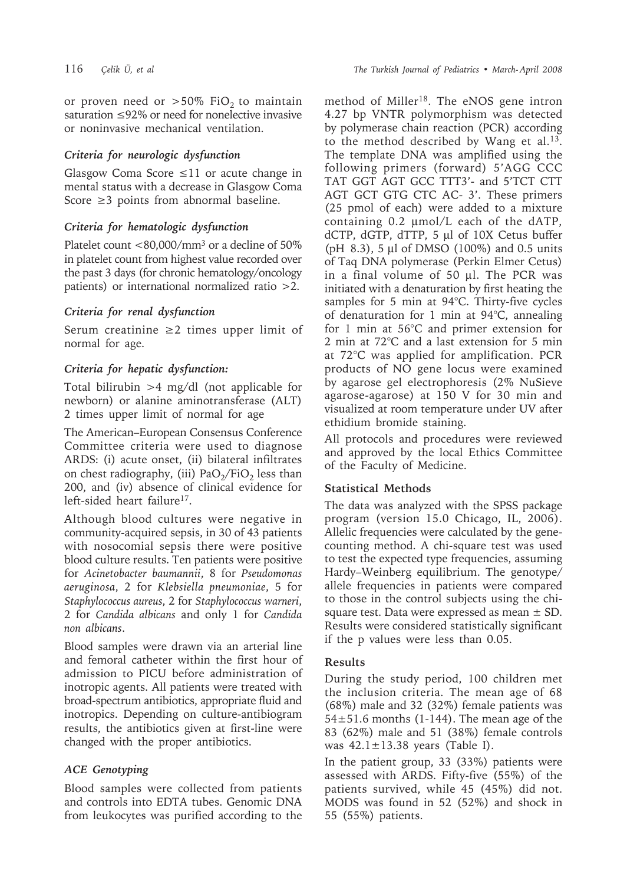or proven need or  $>50\%$  FiO<sub>2</sub> to maintain saturation ≤92% or need for nonelective invasive or noninvasive mechanical ventilation.

## *Criteria for neurologic dysfunction*

Glasgow Coma Score  $\leq 11$  or acute change in mental status with a decrease in Glasgow Coma Score  $\geq$ 3 points from abnormal baseline.

# *Criteria for hematologic dysfunction*

Platelet count <80,000/mm<sup>3</sup> or a decline of 50% in platelet count from highest value recorded over the past 3 days (for chronic hematology/oncology patients) or international normalized ratio >2.

### *Criteria for renal dysfunction*

Serum creatinine ≥2 times upper limit of normal for age.

### *Criteria for hepatic dysfunction:*

Total bilirubin >4 mg/dl (not applicable for newborn) or alanine aminotransferase (ALT) 2 times upper limit of normal for age

The American–European Consensus Conference Committee criteria were used to diagnose ARDS: (i) acute onset, (ii) bilateral infiltrates on chest radiography, (iii)  $PaO<sub>2</sub>/FiO<sub>2</sub>$  less than 200, and (iv) absence of clinical evidence for left-sided heart failure<sup>17</sup>.

Although blood cultures were negative in community-acquired sepsis, in 30 of 43 patients with nosocomial sepsis there were positive blood culture results. Ten patients were positive for *Acinetobacter baumannii*, 8 for *Pseudomonas aeruginosa*, 2 for *Klebsiella pneumoniae*, 5 for *Staphylococcus aureus*, 2 for *Staphylococcus warneri*, 2 for *Candida albicans* and only 1 for *Candida non albicans*.

Blood samples were drawn via an arterial line and femoral catheter within the first hour of admission to PICU before administration of inotropic agents. All patients were treated with broad-spectrum antibiotics, appropriate fluid and inotropics. Depending on culture-antibiogram results, the antibiotics given at first-line were changed with the proper antibiotics.

# *ACE Genotyping*

Blood samples were collected from patients and controls into EDTA tubes. Genomic DNA from leukocytes was purified according to the method of Miller18. The eNOS gene intron 4.27 bp VNTR polymorphism was detected by polymerase chain reaction (PCR) according to the method described by Wang et al.13. The template DNA was amplified using the following primers (forward) 5'AGG CCC TAT GGT AGT GCC TTT3'- and 5'TCT CTT AGT GCT GTG CTC AC- 3'. These primers (25 pmol of each) were added to a mixture containing 0.2 µmol/L each of the dATP, dCTP, dGTP, dTTP, 5 µl of 10X Cetus buffer (pH 8.3), 5 µl of DMSO (100%) and 0.5 units of Taq DNA polymerase (Perkin Elmer Cetus) in a final volume of 50 µl. The PCR was initiated with a denaturation by first heating the samples for 5 min at 94°C. Thirty-five cycles of denaturation for 1 min at 94°C, annealing for 1 min at 56°C and primer extension for 2 min at 72°C and a last extension for 5 min at 72°C was applied for amplification. PCR products of NO gene locus were examined by agarose gel electrophoresis (2% NuSieve agarose-agarose) at 150 V for 30 min and visualized at room temperature under UV after ethidium bromide staining.

All protocols and procedures were reviewed and approved by the local Ethics Committee of the Faculty of Medicine.

#### **Statistical Methods**

The data was analyzed with the SPSS package program (version 15.0 Chicago, IL, 2006). Allelic frequencies were calculated by the genecounting method. A chi-square test was used to test the expected type frequencies, assuming Hardy–Weinberg equilibrium. The genotype/ allele frequencies in patients were compared to those in the control subjects using the chisquare test. Data were expressed as mean  $\pm$  SD. Results were considered statistically significant if the p values were less than 0.05.

# **Results**

During the study period, 100 children met the inclusion criteria. The mean age of 68 (68%) male and 32 (32%) female patients was  $54\pm51.6$  months (1-144). The mean age of the 83 (62%) male and 51 (38%) female controls was  $42.1 \pm 13.38$  years (Table I).

In the patient group, 33 (33%) patients were assessed with ARDS. Fifty-five (55%) of the patients survived, while 45 (45%) did not. MODS was found in 52 (52%) and shock in 55 (55%) patients.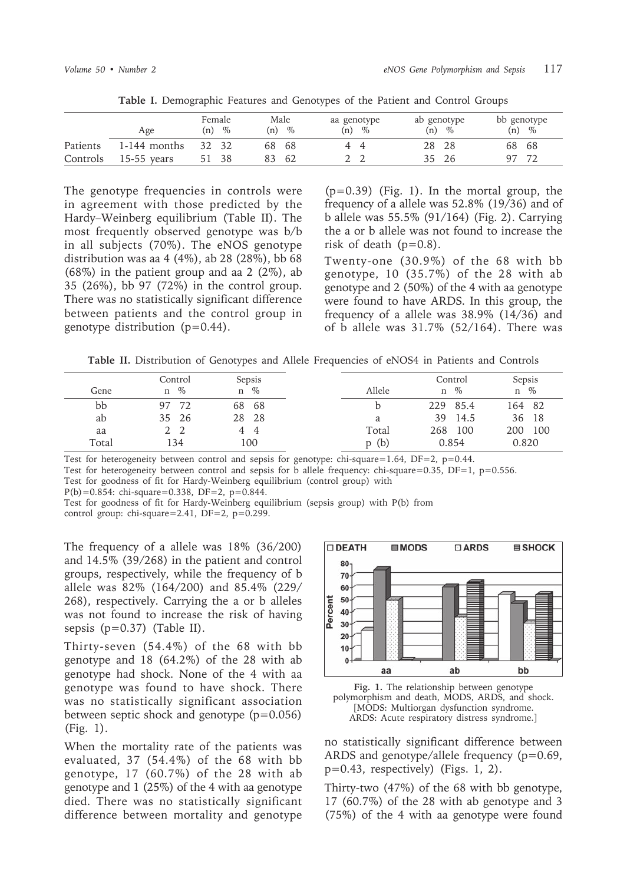|          | Age            | Female<br>$\%$<br>(n) | Male<br>$\%$<br>(n) | aa genotype<br>(n)<br>$\%$ | ab genotype<br>$\%$<br>(n) | bb genotype<br>$\%$<br>(n) |
|----------|----------------|-----------------------|---------------------|----------------------------|----------------------------|----------------------------|
| Patients | $1-144$ months | 32 32                 | 68<br>-68           | -4                         | 28 28                      | - 68<br>68                 |
| Controls | $15-55$ years  | 51 38                 | 83<br>-62           |                            | - 26<br>35.                | 72                         |

**Table I.** Demographic Features and Genotypes of the Patient and Control Groups

The genotype frequencies in controls were in agreement with those predicted by the Hardy–Weinberg equilibrium (Table II). The most frequently observed genotype was b/b in all subjects (70%). The eNOS genotype distribution was aa 4 (4%), ab 28 (28%), bb 68 (68%) in the patient group and aa 2 (2%), ab 35 (26%), bb 97 (72%) in the control group. There was no statistically significant difference between patients and the control group in genotype distribution (p=0.44).

 $(p=0.39)$  (Fig. 1). In the mortal group, the frequency of a allele was 52.8% (19/36) and of b allele was 55.5% (91/164) (Fig. 2). Carrying the a or b allele was not found to increase the risk of death  $(p=0.8)$ .

Twenty-one (30.9%) of the 68 with bb genotype, 10 (35.7%) of the 28 with ab genotype and 2 (50%) of the 4 with aa genotype were found to have ARDS. In this group, the frequency of a allele was 38.9% (14/36) and of b allele was  $31.7\%$  (52/164). There was

**Table II.** Distribution of Genotypes and Allele Frequencies of eNOS4 in Patients and Controls

|       | Control   | Sepsis |        | Control    | Sepsis    |
|-------|-----------|--------|--------|------------|-----------|
| Gene  | $\%$<br>n | $n \%$ | Allele | $\%$<br>n  | $\%$<br>n |
| bb    | 72<br>97  | 68 68  |        | 229 85.4   | 164 82    |
| ab    | 35 26     | 28 28  | a.     | 39<br>14.5 | 36 18     |
| aa    |           | 44     | Total  | 100<br>268 | 200 100   |
| Total | 134       | 100    | p(b)   | 0.854      | 0.820     |

Test for heterogeneity between control and sepsis for genotype: chi-square=1.64, DF=2, p=0.44.

Test for heterogeneity between control and sepsis for b allele frequency: chi-square=0.35, DF=1, p=0.556.

Test for goodness of fit for Hardy-Weinberg equilibrium (control group) with

 $P(b)=0.854$ : chi-square=0.338, DF=2, p=0.844.

Test for goodness of fit for Hardy-Weinberg equilibrium (sepsis group) with P(b) from control group: chi-square=2.41,  $DF=2$ ,  $p=0.299$ .

The frequency of a allele was 18% (36/200) and 14.5% (39/268) in the patient and control groups, respectively, while the frequency of b allele was 82% (164/200) and 85.4% (229/ 268), respectively. Carrying the a or b alleles was not found to increase the risk of having sepsis  $(p=0.37)$  (Table II).

Thirty-seven (54.4%) of the 68 with bb genotype and 18 (64.2%) of the 28 with ab genotype had shock. None of the 4 with aa genotype was found to have shock. There was no statistically significant association between septic shock and genotype (p=0.056) (Fig. 1).

When the mortality rate of the patients was evaluated, 37 (54.4%) of the 68 with bb genotype, 17 (60.7%) of the 28 with ab genotype and 1 (25%) of the 4 with aa genotype died. There was no statistically significant difference between mortality and genotype





no statistically significant difference between ARDS and genotype/allele frequency (p=0.69, p=0.43, respectively) (Figs. 1, 2).

Thirty-two (47%) of the 68 with bb genotype, 17 (60.7%) of the 28 with ab genotype and 3 (75%) of the 4 with aa genotype were found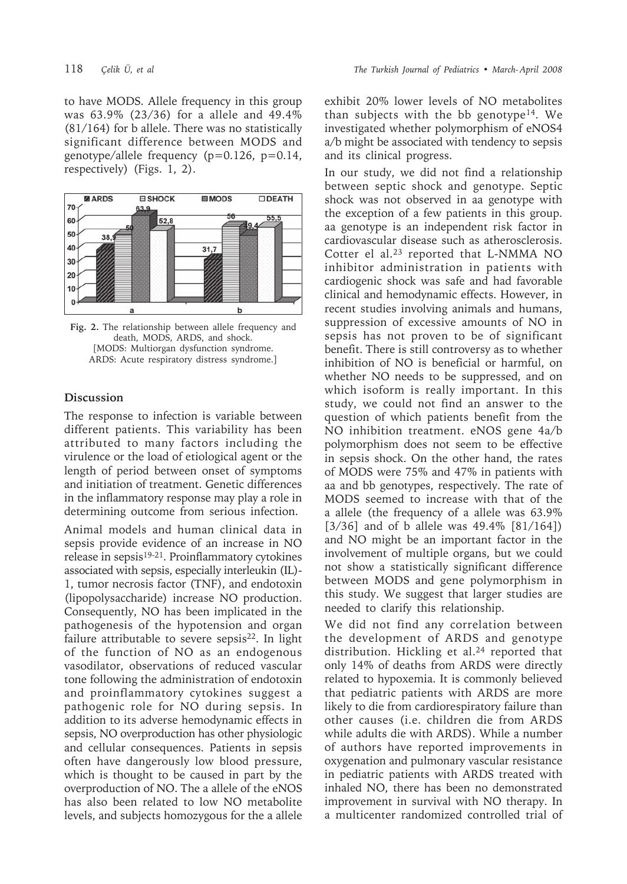to have MODS. Allele frequency in this group was 63.9% (23/36) for a allele and 49.4% (81/164) for b allele. There was no statistically significant difference between MODS and genotype/allele frequency  $(p=0.126, p=0.14,$ respectively) (Figs. 1, 2).



**Fig. 2.** The relationship between allele frequency and death, MODS, ARDS, and shock. [MODS: Multiorgan dysfunction syndrome. ARDS: Acute respiratory distress syndrome.]

#### **Discussion**

The response to infection is variable between different patients. This variability has been attributed to many factors including the virulence or the load of etiological agent or the length of period between onset of symptoms and initiation of treatment. Genetic differences in the inflammatory response may play a role in determining outcome from serious infection.

Animal models and human clinical data in sepsis provide evidence of an increase in NO release in sepsis<sup>19-21</sup>. Proinflammatory cytokines associated with sepsis, especially interleukin (IL)- 1, tumor necrosis factor (TNF), and endotoxin (lipopolysaccharide) increase NO production. Consequently, NO has been implicated in the pathogenesis of the hypotension and organ failure attributable to severe sepsis<sup>22</sup>. In light of the function of NO as an endogenous vasodilator, observations of reduced vascular tone following the administration of endotoxin and proinflammatory cytokines suggest a pathogenic role for NO during sepsis. In addition to its adverse hemodynamic effects in sepsis, NO overproduction has other physiologic and cellular consequences. Patients in sepsis often have dangerously low blood pressure, which is thought to be caused in part by the overproduction of NO. The a allele of the eNOS has also been related to low NO metabolite levels, and subjects homozygous for the a allele

exhibit 20% lower levels of NO metabolites than subjects with the bb genotype14. We investigated whether polymorphism of eNOS4 a/b might be associated with tendency to sepsis and its clinical progress.

In our study, we did not find a relationship between septic shock and genotype. Septic shock was not observed in aa genotype with the exception of a few patients in this group. aa genotype is an independent risk factor in cardiovascular disease such as atherosclerosis. Cotter el al.23 reported that L-NMMA NO inhibitor administration in patients with cardiogenic shock was safe and had favorable clinical and hemodynamic effects. However, in recent studies involving animals and humans, suppression of excessive amounts of NO in sepsis has not proven to be of significant benefit. There is still controversy as to whether inhibition of NO is beneficial or harmful, on whether NO needs to be suppressed, and on which isoform is really important. In this study, we could not find an answer to the question of which patients benefit from the NO inhibition treatment. eNOS gene 4a/b polymorphism does not seem to be effective in sepsis shock. On the other hand, the rates of MODS were 75% and 47% in patients with aa and bb genotypes, respectively. The rate of MODS seemed to increase with that of the a allele (the frequency of a allele was 63.9% [3/36] and of b allele was 49.4% [81/164]) and NO might be an important factor in the involvement of multiple organs, but we could not show a statistically significant difference between MODS and gene polymorphism in this study. We suggest that larger studies are needed to clarify this relationship.

We did not find any correlation between the development of ARDS and genotype distribution. Hickling et al.<sup>24</sup> reported that only 14% of deaths from ARDS were directly related to hypoxemia. It is commonly believed that pediatric patients with ARDS are more likely to die from cardiorespiratory failure than other causes (i.e. children die from ARDS while adults die with ARDS). While a number of authors have reported improvements in oxygenation and pulmonary vascular resistance in pediatric patients with ARDS treated with inhaled NO, there has been no demonstrated improvement in survival with NO therapy. In a multicenter randomized controlled trial of